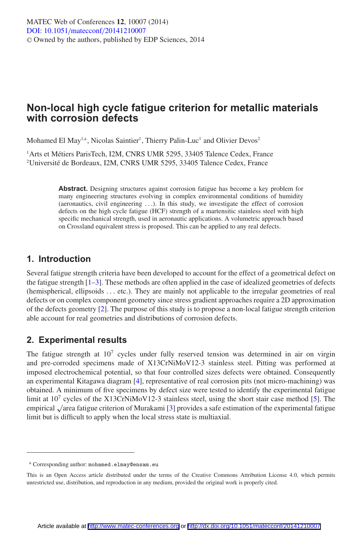# **Non-local high cycle fatigue criterion for metallic materials with corrosion defects**

Mohamed El May<sup>1,a</sup>, Nicolas Saintier<sup>1</sup>, Thierry Palin-Luc<sup>1</sup> and Olivier Devos<sup>2</sup>

<sup>1</sup> Arts et Métiers ParisTech, I2M, CNRS UMR 5295, 33405 Talence Cedex, France 2 Université de Bordeaux, I2M, CNRS UMR 5295, 33405 Talence Cedex, France

> **Abstract.** Designing structures against corrosion fatigue has become a key problem for many engineering structures evolving in complex environmental conditions of humidity (aeronautics, civil engineering ...). In this study, we investigate the effect of corrosion defects on the high cycle fatigue (HCF) strength of a martensitic stainless steel with high specific mechanical strength, used in aeronautic applications. A volumetric approach based on Crossland equivalent stress is proposed. This can be applied to any real defects.

## **1. Introduction**

Several fatigue strength criteria have been developed to account for the effect of a geometrical defect on the fatigue strength [\[1](#page-2-0)[–3\]](#page-2-1). These methods are often applied in the case of idealized geometries of defects (hemispherical, ellipsoids ... etc.). They are mainly not applicable to the irregular geometries of real defects or on complex component geometry since stress gradient approaches require a 2D approximation of the defects geometry [\[2](#page-2-2)]. The purpose of this study is to propose a non-local fatigue strength criterion able account for real geometries and distributions of corrosion defects.

## **2. Experimental results**

The fatigue strength at  $10<sup>7</sup>$  cycles under fully reserved tension was determined in air on virgin and pre-corroded specimens made of X13CrNiMoV12-3 stainless steel. Pitting was performed at imposed electrochemical potential, so that four controlled sizes defects were obtained. Consequently an experimental Kitagawa diagram [\[4\]](#page-2-3), representative of real corrosion pits (not micro-machining) was obtained. A minimum of five specimens by defect size were tested to identify the experimental fatigue limit at  $10<sup>7</sup>$  cycles of the X13CrNiMoV12-3 stainless steel, using the short stair case method [\[5](#page-2-4)]. The empirical √area fatigue criterion of Murakami [\[3](#page-2-1)] provides a safe estimation of the experimental fatigue limit but is difficult to apply when the local stress state is multiaxial.

<sup>a</sup> Corresponding author: mohamed.elmay@ensam.eu

This is an Open Access article distributed under the terms of the Creative Commons Attribution License 4.0, which permits unrestricted use, distribution, and reproduction in any medium, provided the original work is properly cited.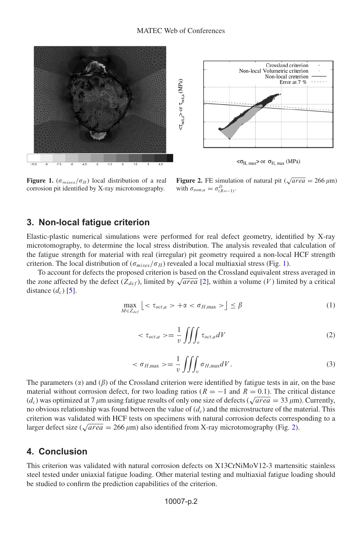<span id="page-1-0"></span>



 $<\sigma_{H, max}$ > or  $\sigma_{H, max}$  (MPa)

Figure 1.  $(\sigma_{mises}/\sigma_H)$  local distribution of a real corrosion pit identified by X-ray microtomography.

**Figure 2.** FE simulation of natural pit ( $\sqrt{area} = 266 \,\mu\text{m}$ ) with  $\sigma_{nom,a} = \sigma_{(R=-1)}^D$ .

## <span id="page-1-1"></span>**3. Non-local fatigue criterion**

Elastic-plastic numerical simulations were performed for real defect geometry, identified by X-ray microtomography, to determine the local stress distribution. The analysis revealed that calculation of the fatigue strength for material with real (irregular) pit geometry required a non-local HCF strength criterion. The local distribution of  $(\sigma_{miss}/\sigma_H)$  revealed a local multiaxial stress (Fig. [1\)](#page-1-0).

To account for defects the proposed criterion is based on the Crossland equivalent stress averaged in the zone affected by the defect ( $Z_{def}$ ), limited by  $\sqrt{area}$  [\[2\]](#page-2-2), within a volume (V) limited by a critical distance  $(d_c)$  [\[5\]](#page-2-4).

$$
\max_{M \in Z_{def}} \left[ \langle \tau_{oct,a} \rangle + \alpha \langle \sigma_{H,\max} \rangle \right] \le \beta \tag{1}
$$

$$
\langle \tau_{oct,a} \rangle = \frac{1}{v} \iiint_{v} \tau_{oct,a} dV \tag{2}
$$

$$
\langle \sigma_{H,\max} \rangle = \frac{1}{v} \iiint_{v} \sigma_{H,\max} dV. \tag{3}
$$

The parameters  $(\alpha)$  and  $(\beta)$  of the Crossland criterion were identified by fatigue tests in air, on the base material without corrosion defect, for two loading ratios ( $R = -1$  and  $R = 0.1$ ). The critical distance  $(d_c)$  was optimized at 7  $\mu$ m using fatigue results of only one size of defects ( $\sqrt{\text{area}} = 33 \ \mu$ m). Currently, no obvious relationship was found between the value of  $(d_c)$  and the microstructure of the material. This criterion was validated with HCF tests on specimens with natural corrosion defects corresponding to a larger defect size ( $\sqrt{area} = 266 \,\mu\text{m}$ ) also identified from X-ray microtomography (Fig. [2\)](#page-1-1).

#### **4. Conclusion**

This criterion was validated with natural corrosion defects on X13CrNiMoV12-3 martensitic stainless steel tested under uniaxial fatigue loading. Other material testing and multiaxial fatigue loading should be studied to confirm the prediction capabilities of the criterion.